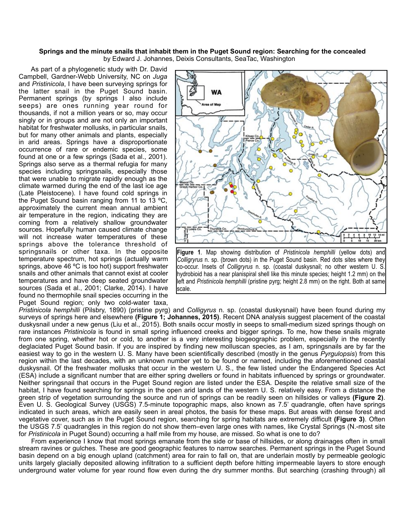## **Springs and the minute snails that inhabit them in the Puget Sound region: Searching for the concealed** by Edward J. Johannes, Deixis Consultants, SeaTac, Washington

 As part of a phylogenetic study with Dr. David Campbell, Gardner-Webb University, NC on *Juga*  and *Pristinicola*, I have been surveying springs for the latter snail in the Puget Sound basin. Permanent springs (by springs I also include seeps) are ones running year round for thousands, if not a million years or so, may occur singly or in groups and are not only an important habitat for freshwater mollusks, in particular snails, but for many other animals and plants, especially in arid areas. Springs have a disproportionate occurrence of rare or endemic species, some found at one or a few springs (Sada et al., 2001). Springs also serve as a thermal refugia for many species including springsnails, especially those that were unable to migrate rapidly enough as the climate warmed during the end of the last ice age (Late Pleistocene). I have found cold springs in the Puget Sound basin ranging from 11 to 13 ºC, approximately the current mean annual ambient air temperature in the region, indicating they are coming from a relatively shallow groundwater sources. Hopefully human caused climate change will not increase water temperatures of these springs above the tolerance threshold of springsnails or other taxa. In the opposite temperature spectrum, hot springs (actually warm springs, above 46 ºC is too hot) support freshwater snails and other animals that cannot exist at cooler temperatures and have deep seated groundwater sources (Sada et al., 2001; Clarke, 2014). I have found no thermophile snail species occurring in the Puget Sound region; only two cold-water taxa,



**Figure 1**. Map showing distribution of *Pristinicola hemphilli* (yellow dots) and *Colligryrus* n. sp. (brown dots) in the Puget Sound basin. Red dots sites where they co-occur. Insets of *Colligryrus* n. sp. (coastal duskysnail; no other western U. S. hydrobioid has a near planispiral shell like this minute species; height 1.2 mm) on the left and *Pristinicola hemphilli* (pristine pyrg; height 2.8 mm) on the right. Both at same scale.

*Pristinicola hemphilli* (Pilsbry, 1890) (pristine pyrg) and *Colligyrus* n. sp. (coastal duskysnail) have been found during my surveys of springs here and elsewhere **(Figure 1; Johannes, 2015)**. Recent DNA analysis suggest placement of the coastal duskysnail under a new genus (Liu et al., 2015). Both snails occur mostly in seeps to small-medium sized springs though on rare instances *Pristinicola* is found in small spring influenced creeks and bigger springs. To me, how these snails migrate from one spring, whether hot or cold, to another is a very interesting biogeographic problem, especially in the recently deglaciated Puget Sound basin. If you are inspired by finding new molluscan species, as I am, springsnails are by far the easiest way to go in the western U. S. Many have been scientifically described (mostly in the genus *Pyrgulopsis*) from this region within the last decades, with an unknown number yet to be found or named, including the aforementioned coastal duskysnail. Of the freshwater mollusks that occur in the western U. S., the few listed under the Endangered Species Act (ESA) include a significant number that are either spring dwellers or found in habitats influenced by springs or groundwater. Neither springsnail that occurs in the Puget Sound region are listed under the ESA. Despite the relative small size of the habitat, I have found searching for springs in the open arid lands of the western U. S. relatively easy. From a distance the green strip of vegetation surrounding the source and run of springs can be readily seen on hillsides or valleys **(Figure 2)**. Even U. S. Geological Survey (USGS) 7.5-minute topographic maps, also known as 7.5' quadrangle, often have springs indicated in such areas, which are easily seen in areal photos, the basis for these maps. But areas with dense forest and vegetative cover, such as in the Puget Sound region, searching for spring habitats are extremely difficult **(Figure 3)**. Often the USGS 7.5' quadrangles in this region do not show them–even large ones with names, like Crystal Springs (N.-most site for *Pristinicola* in Puget Sound) occurring a half mile from my house, are missed. So what is one to do?

 From experience I know that most springs emanate from the side or base of hillsides, or along drainages often in small stream ravines or gulches. These are good geographic features to narrow searches. Permanent springs in the Puget Sound basin depend on a big enough upland (catchment) area for rain to fall on, that are underlain mostly by permeable geologic units largely glacially deposited allowing infiltration to a sufficient depth before hitting impermeable layers to store enough underground water volume for year round flow even during the dry summer months. But searching (crashing through) all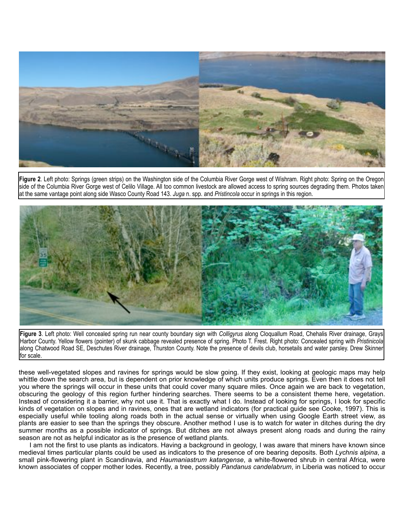

**Figure 2**. Left photo: Springs (green strips) on the Washington side of the Columbia River Gorge west of Wishram. Right photo: Spring on the Oregon side of the Columbia River Gorge west of Celilo Village. All too common livestock are allowed access to spring sources degrading them. Photos taken at the same vantage point along side Wasco County Road 143. *Juga* n. spp. and *Pristincola* occur in springs in this region.



**Figure 3**. Left photo: Well concealed spring run near county boundary sign with *Colligyrus* along Cloquallum Road, Chehalis River drainage, Grays Harbor County. Yellow flowers (pointer) of skunk cabbage revealed presence of spring. Photo T. Frest. Right photo: Concealed spring with *Pristinicola* along Chatwood Road SE, Deschutes River drainage, Thurston County. Note the presence of devils club, horsetails and water parsley. Drew Skinner for scale.

these well-vegetated slopes and ravines for springs would be slow going. If they exist, looking at geologic maps may help whittle down the search area, but is dependent on prior knowledge of which units produce springs. Even then it does not tell you where the springs will occur in these units that could cover many square miles. Once again we are back to vegetation, obscuring the geology of this region further hindering searches. There seems to be a consistent theme here, vegetation. Instead of considering it a barrier, why not use it. That is exactly what I do. Instead of looking for springs, I look for specific kinds of vegetation on slopes and in ravines, ones that are wetland indicators (for practical guide see Cooke, 1997). This is especially useful while tooling along roads both in the actual sense or virtually when using Google Earth street view, as plants are easier to see than the springs they obscure. Another method I use is to watch for water in ditches during the dry summer months as a possible indicator of springs. But ditches are not always present along roads and during the rainy season are not as helpful indicator as is the presence of wetland plants.

 I am not the first to use plants as indicators. Having a background in geology, I was aware that miners have known since medieval times particular plants could be used as indicators to the presence of ore bearing deposits. Both *Lychnis alpina*, a small pink-flowering plant in Scandinavia, and *Haumaniastrum katangense*, a white-flowered shrub in central Africa, were known associates of copper mother lodes. Recently, a tree, possibly *Pandanus candelabrum*, in Liberia was noticed to occur